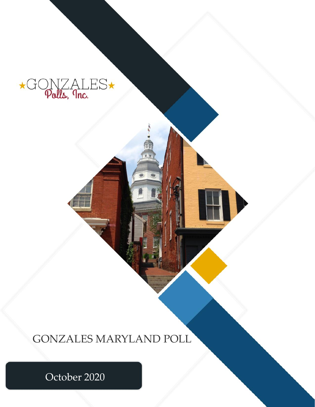# $\star$  GONZALES $\star$

Report Title Here Gonzales Polls, Inc.

# GONZALES MARYLAND POLL

*Embargoed until TIME, DATE* 1 | P a g e October 2020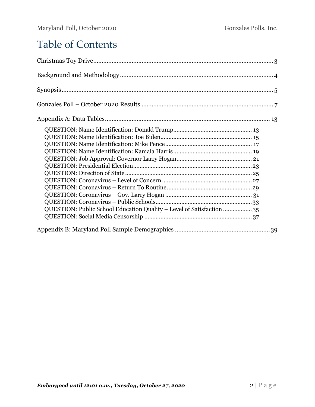# Table of Contents

| QUESTION: Public School Education Quality - Level of Satisfaction 35 |
|----------------------------------------------------------------------|
|                                                                      |
|                                                                      |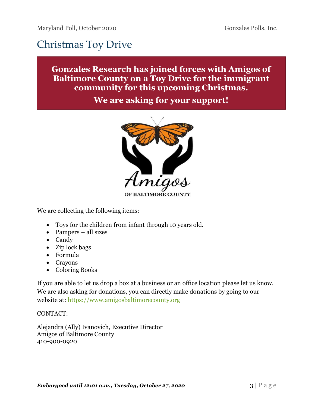## <span id="page-2-0"></span>Christmas Toy Drive

### **Gonzales Research has joined forces with Amigos of Baltimore County on a Toy Drive for the immigrant community for this upcoming Christmas.**

**We are asking for your support!**



We are collecting the following items:

- Toys for the children from infant through 10 years old.
- Pampers all sizes
- Candy
- Zip lock bags
- Formula
- Crayons
- Coloring Books

If you are able to let us drop a box at a business or an office location please let us know. We are also asking for donations, you can directly make donations by going to our website at: [https://www.amigosbaltimorecounty.org](https://www.amigosbaltimorecounty.org/)

CONTACT:

Alejandra (Ally) Ivanovich, Executive Director Amigos of Baltimore County 410-900-0920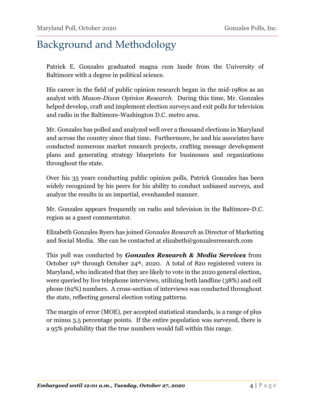## <span id="page-3-0"></span>Background and Methodology

Patrick E. Gonzales graduated magna cum laude from the University of Baltimore with a degree in political science.

His career in the field of public opinion research began in the mid-1980s as an analyst with *Mason-Dixon Opinion Research*. During this time, Mr. Gonzales helped develop, craft and implement election surveys and exit polls for television and radio in the Baltimore-Washington D.C. metro area.

Mr. Gonzales has polled and analyzed well over a thousand elections in Maryland and across the country since that time. Furthermore, he and his associates have conducted numerous market research projects, crafting message development plans and generating strategy blueprints for businesses and organizations throughout the state.

Over his 35 years conducting public opinion polls, Patrick Gonzales has been widely recognized by his peers for his ability to conduct unbiased surveys, and analyze the results in an impartial, evenhanded manner.

Mr. Gonzales appears frequently on radio and television in the Baltimore-D.C. region as a guest commentator.

Elizabeth Gonzales Byers has joined *Gonzales Research* as Director of Marketing and Social Media. She can be contacted at elizabeth@gonzalesresearch.com

This poll was conducted by *Gonzales Research & Media Services* from October 19th through October 24th, 2020. A total of 820 registered voters in Maryland, who indicated that they are likely to vote in the 2020 general election, were queried by live telephone interviews, utilizing both landline (38%) and cell phone (62%) numbers. A cross-section of interviews was conducted throughout the state, reflecting general election voting patterns.

The margin of error (MOE), per accepted statistical standards, is a range of plus or minus 3.5 percentage points. If the entire population was surveyed, there is a 95% probability that the true numbers would fall within this range.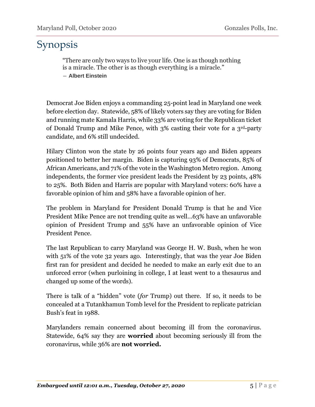## <span id="page-4-0"></span>Synopsis

"There are only two ways to live your life. One is as though nothing is a miracle. The other is as though everything is a miracle." ― **Albert Einstein**

Democrat Joe Biden enjoys a commanding 25-point lead in Maryland one week before election day. Statewide, 58% of likely voters say they are voting for Biden and running mate Kamala Harris, while 33% are voting for the Republican ticket of Donald Trump and Mike Pence, with 3% casting their vote for a 3rd-party candidate, and 6% still undecided.

Hilary Clinton won the state by 26 points four years ago and Biden appears positioned to better her margin. Biden is capturing 93% of Democrats, 85% of African Americans, and 71% of the vote in the Washington Metro region. Among independents, the former vice president leads the President by 23 points, 48% to 25%. Both Biden and Harris are popular with Maryland voters: 60% have a favorable opinion of him and 58% have a favorable opinion of her.

The problem in Maryland for President Donald Trump is that he and Vice President Mike Pence are not trending quite as well…63% have an unfavorable opinion of President Trump and 55% have an unfavorable opinion of Vice President Pence.

The last Republican to carry Maryland was George H. W. Bush, when he won with 51% of the vote 32 years ago. Interestingly, that was the year Joe Biden first ran for president and decided he needed to make an early exit due to an unforced error (when purloining in college, I at least went to a thesaurus and changed up some of the words).

There is talk of a "hidden" vote (*for* Trump) out there. If so, it needs to be concealed at a Tutankhamun Tomb level for the President to replicate patrician Bush's feat in 1988.

Marylanders remain concerned about becoming ill from the coronavirus. Statewide, 64% say they are **worried** about becoming seriously ill from the coronavirus, while 36% are **not worried.**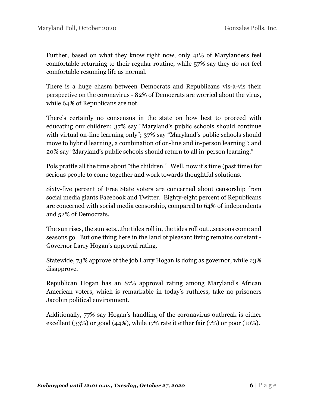Further, based on what they know right now, only 41% of Marylanders feel comfortable returning to their regular routine, while 57% say they *do not* feel comfortable resuming life as normal.

There is a huge chasm between Democrats and Republicans vis-à-vis their perspective on the coronavirus - 82% of Democrats are worried about the virus, while 64% of Republicans are not.

There's certainly no consensus in the state on how best to proceed with educating our children: 37% say "Maryland's public schools should continue with virtual on-line learning only"; 37% say "Maryland's public schools should move to hybrid learning, a combination of on-line and in-person learning"; and 20% say "Maryland's public schools should return to all in-person learning."

Pols prattle all the time about "the children." Well, now it's time (past time) for serious people to come together and work towards thoughtful solutions.

Sixty-five percent of Free State voters are concerned about censorship from social media giants Facebook and Twitter. Eighty-eight percent of Republicans are concerned with social media censorship, compared to 64% of independents and 52% of Democrats.

The sun rises, the sun sets…the tides roll in, the tides roll out…seasons come and seasons go. But one thing here in the land of pleasant living remains constant - Governor Larry Hogan's approval rating.

Statewide, 73% approve of the job Larry Hogan is doing as governor, while 23% disapprove.

Republican Hogan has an 87% approval rating among Maryland's African American voters, which is remarkable in today's ruthless, take-no-prisoners Jacobin political environment.

Additionally, 77% say Hogan's handling of the coronavirus outbreak is either excellent  $(33%)$  or good  $(44%)$ , while 17% rate it either fair  $(7%)$  or poor  $(10%).$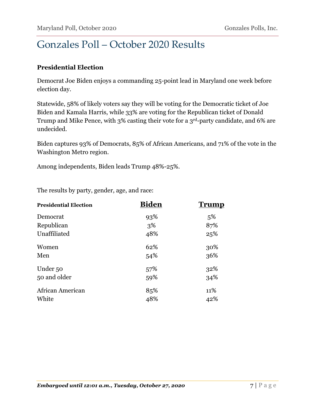## <span id="page-6-0"></span>Gonzales Poll – October 2020 Results

#### **Presidential Election**

Democrat Joe Biden enjoys a commanding 25-point lead in Maryland one week before election day.

Statewide, 58% of likely voters say they will be voting for the Democratic ticket of Joe Biden and Kamala Harris, while 33% are voting for the Republican ticket of Donald Trump and Mike Pence, with 3% casting their vote for a 3rd-party candidate, and 6% are undecided.

Biden captures 93% of Democrats, 85% of African Americans, and 71% of the vote in the Washington Metro region.

Among independents, Biden leads Trump 48%-25%.

The results by party, gender, age, and race:

| <b>Presidential Election</b> | <b>Biden</b> | <b>Trump</b> |
|------------------------------|--------------|--------------|
| Democrat                     | 93%          | 5%           |
| Republican                   | 3%           | 87%          |
| Unaffiliated                 | 48%          | 25%          |
| Women                        | 62%          | 30%          |
| Men                          | 54%          | 36%          |
| Under 50                     | 57%          | 32%          |
| 50 and older                 | 59%          | 34%          |
| African American             | 85%          | 11%          |
| White                        | 48%          | 42%          |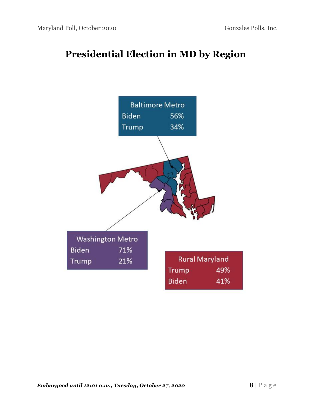## **Presidential Election in MD by Region**

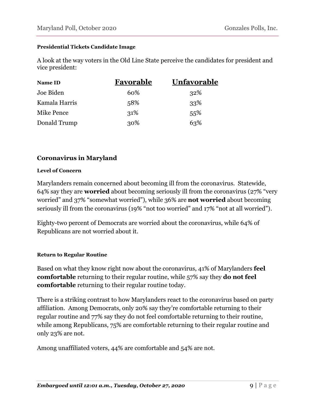#### **Presidential Tickets Candidate Image**

A look at the way voters in the Old Line State perceive the candidates for president and vice president:

| <b>Name ID</b> | Favorable | <b>Unfavorable</b> |
|----------------|-----------|--------------------|
| Joe Biden      | 60%       | 32%                |
| Kamala Harris  | 58%       | 33%                |
| Mike Pence     | 31\%      | 55%                |
| Donald Trump   | 30%       | 63%                |

#### **Coronavirus in Maryland**

#### **Level of Concern**

Marylanders remain concerned about becoming ill from the coronavirus. Statewide, 64% say they are **worried** about becoming seriously ill from the coronavirus (27% "very worried" and 37% "somewhat worried"), while 36% are **not worried** about becoming seriously ill from the coronavirus (19% "not too worried" and 17% "not at all worried").

Eighty-two percent of Democrats are worried about the coronavirus, while 64% of Republicans are not worried about it.

#### **Return to Regular Routine**

Based on what they know right now about the coronavirus, 41% of Marylanders **feel comfortable** returning to their regular routine, while 57% say they **do not feel comfortable** returning to their regular routine today.

There is a striking contrast to how Marylanders react to the coronavirus based on party affiliation. Among Democrats, only 20% say they're comfortable returning to their regular routine and 77% say they do not feel comfortable returning to their routine, while among Republicans, 75% are comfortable returning to their regular routine and only 23% are not.

Among unaffiliated voters, 44% are comfortable and 54% are not.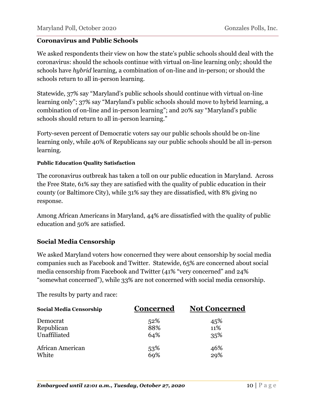#### **Coronavirus and Public Schools**

We asked respondents their view on how the state's public schools should deal with the coronavirus: should the schools continue with virtual on-line learning only; should the schools have *hybrid* learning, a combination of on-line and in-person; or should the schools return to all in-person learning.

Statewide, 37% say "Maryland's public schools should continue with virtual on-line learning only"; 37% say "Maryland's public schools should move to hybrid learning, a combination of on-line and in-person learning"; and 20% say "Maryland's public schools should return to all in-person learning."

Forty-seven percent of Democratic voters say our public schools should be on-line learning only, while 40% of Republicans say our public schools should be all in-person learning.

#### **Public Education Quality Satisfaction**

The coronavirus outbreak has taken a toll on our public education in Maryland. Across the Free State, 61% say they are satisfied with the quality of public education in their county (or Baltimore City), while 31% say they are dissatisfied, with 8% giving no response.

Among African Americans in Maryland, 44% are dissatisfied with the quality of public education and 50% are satisfied.

#### **Social Media Censorship**

We asked Maryland voters how concerned they were about censorship by social media companies such as Facebook and Twitter. Statewide, 65% are concerned about social media censorship from Facebook and Twitter (41% "very concerned" and 24% "somewhat concerned"), while 33% are not concerned with social media censorship.

The results by party and race:

| <b>Social Media Censorship</b> | <b>Concerned</b> | <b>Not Concerned</b> |
|--------------------------------|------------------|----------------------|
| Democrat                       | 52%              | 45%                  |
| Republican                     | 88%              | 11%                  |
| Unaffiliated                   | 64%              | 35%                  |
| African American               | 53%              | 46%                  |
| White                          | 69%              | 29%                  |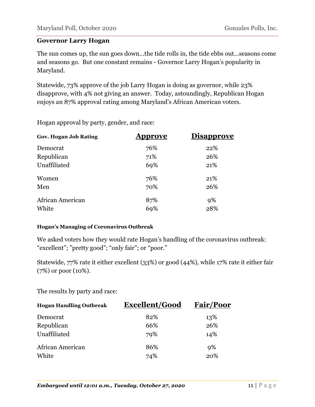#### **Governor Larry Hogan**

The sun comes up, the sun goes down…the tide rolls in, the tide ebbs out…seasons come and seasons go. But one constant remains - Governor Larry Hogan's popularity in Maryland.

Statewide, 73% approve of the job Larry Hogan is doing as governor, while 23% disapprove, with 4% not giving an answer. Today, astoundingly, Republican Hogan enjoys an 87% approval rating among Maryland's African American voters.

Hogan approval by party, gender, and race:

| <b>Gov. Hogan Job Rating</b> | <u>Approve</u> | <b>Disapprove</b> |
|------------------------------|----------------|-------------------|
| Democrat                     | 76%            | 22%               |
| Republican                   | 71%            | 26%               |
| Unaffiliated                 | 69%            | 21%               |
| Women                        | 76%            | 21%               |
| Men                          | 70%            | 26%               |
| African American             | 87%            | 9%                |
| White                        | 69%            | 28%               |

#### **Hogan's Managing of Coronavirus Outbreak**

We asked voters how they would rate Hogan's handling of the coronavirus outbreak: "excellent"; "pretty good"; "only fair"; or "poor."

Statewide, 77% rate it either excellent (33%) or good (44%), while 17% rate it either fair (7%) or poor (10%).

The results by party and race:

| <b>Hogan Handling Outbreak</b> | <b>Excellent/Good</b> | <b>Fair/Poor</b> |
|--------------------------------|-----------------------|------------------|
| Democrat                       | 82%                   | 13%              |
| Republican                     | 66%                   | 26%              |
| Unaffiliated                   | 79%                   | 14%              |
| African American               | 86%                   | 9%               |
| White                          | 74%                   | 20%              |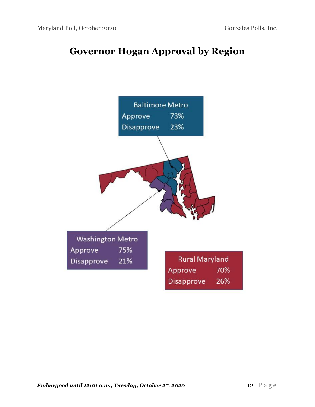# **Governor Hogan Approval by Region**

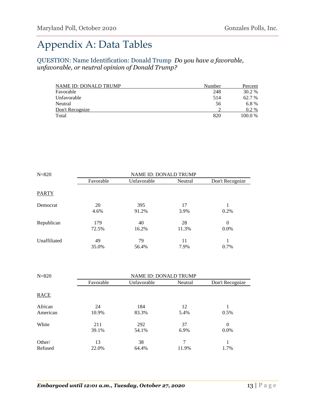# <span id="page-12-0"></span>Appendix A: Data Tables

#### <span id="page-12-1"></span>QUESTION: Name Identification: Donald Trump *Do you have a favorable, unfavorable, or neutral opinion of Donald Trump?*

| NAME ID: DONALD TRUMP | Number | Percent |
|-----------------------|--------|---------|
| Favorable             | 248    | 30.2 %  |
| Unfavorable           | 514    | 62.7 %  |
| Neutral               | 56     | $6.8\%$ |
| Don't Recognize       |        | $0.2\%$ |
| Total                 | 820    | 100.0 % |

| $N = 820$    |              | NAME ID: DONALD TRUMP |             |                     |
|--------------|--------------|-----------------------|-------------|---------------------|
|              | Favorable    | Unfavorable           | Neutral     | Don't Recognize     |
| <b>PARTY</b> |              |                       |             |                     |
| Democrat     | 20<br>4.6%   | 395<br>91.2%          | 17<br>3.9%  | 0.2%                |
| Republican   | 179<br>72.5% | 40<br>16.2%           | 28<br>11.3% | $\theta$<br>$0.0\%$ |
| Unaffiliated | 49<br>35.0%  | 79<br>56.4%           | 11<br>7.9%  | 0.7%                |

| $N = 820$   |           | NAME ID: DONALD TRUMP |         |                 |
|-------------|-----------|-----------------------|---------|-----------------|
|             | Favorable | Unfavorable           | Neutral | Don't Recognize |
| <b>RACE</b> |           |                       |         |                 |
| African     | 24        | 184                   | 12      | 0.5%            |
| American    | 10.9%     | 83.3%                 | 5.4%    |                 |
| White       | 211       | 292                   | 37      | $\Omega$        |
|             | 39.1%     | 54.1%                 | 6.9%    | 0.0%            |
| Other/      | 13        | 38                    | 7       | 1.7%            |
| Refused     | 22.0%     | 64.4%                 | 11.9%   |                 |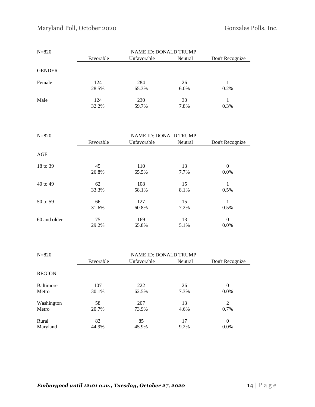| $N = 820$     |              | NAME ID: DONALD TRUMP |            |                 |
|---------------|--------------|-----------------------|------------|-----------------|
|               | Favorable    | Unfavorable           | Neutral    | Don't Recognize |
| <b>GENDER</b> |              |                       |            |                 |
| Female        | 124<br>28.5% | 284<br>65.3%          | 26<br>6.0% | 0.2%            |
| Male          | 124<br>32.2% | 230<br>59.7%          | 30<br>7.8% | 0.3%            |

| $N = 820$    |           | <b>NAME ID: DONALD TRUMP</b> |         |                 |
|--------------|-----------|------------------------------|---------|-----------------|
|              | Favorable | Unfavorable                  | Neutral | Don't Recognize |
| AGE          |           |                              |         |                 |
| 18 to 39     | 45        | 110                          | 13      | $\Omega$        |
|              | 26.8%     | 65.5%                        | 7.7%    | $0.0\%$         |
| 40 to 49     | 62        | 108                          | 15      | 1               |
|              | 33.3%     | 58.1%                        | 8.1%    | 0.5%            |
| 50 to 59     | 66        | 127                          | 15      | 1               |
|              | 31.6%     | 60.8%                        | 7.2%    | 0.5%            |
| 60 and older | 75        | 169                          | 13      | $\theta$        |
|              | 29.2%     | 65.8%                        | 5.1%    | $0.0\%$         |

| $N = 820$     |           | <b>NAME ID: DONALD TRUMP</b> |         |                 |
|---------------|-----------|------------------------------|---------|-----------------|
|               | Favorable | Unfavorable                  | Neutral | Don't Recognize |
| <b>REGION</b> |           |                              |         |                 |
| Baltimore     | 107       | 222                          | 26      | $\theta$        |
| Metro         | 30.1%     | 62.5%                        | 7.3%    | 0.0%            |
| Washington    | 58        | 207                          | 13      | 2               |
| Metro         | 20.7%     | 73.9%                        | 4.6%    | 0.7%            |
| Rural         | 83        | 85                           | 17      | $\Omega$        |
| Maryland      | 44.9%     | 45.9%                        | 9.2%    | $0.0\%$         |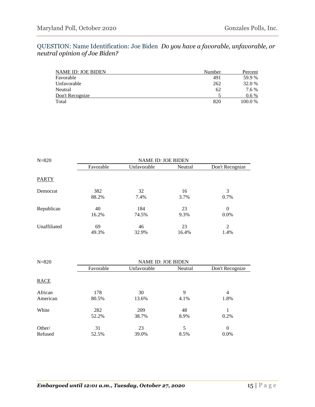#### <span id="page-14-0"></span>QUESTION: Name Identification: Joe Biden *Do you have a favorable, unfavorable, or neutral opinion of Joe Biden?*

| <b>NAME ID: JOE BIDEN</b> | Number | Percent |
|---------------------------|--------|---------|
| Favorable                 | 491    | 59.9 %  |
| Unfavorable               | 262    | 32.0 %  |
| Neutral                   | 62     | 7.6 %   |
| Don't Recognize           |        | $0.6\%$ |
| Total                     | 820    | 100.0 % |

| $N = 820$    | <b>NAME ID: JOE BIDEN</b> |             |         |                 |  |
|--------------|---------------------------|-------------|---------|-----------------|--|
|              | Favorable                 | Unfavorable | Neutral | Don't Recognize |  |
| <b>PARTY</b> |                           |             |         |                 |  |
| Democrat     | 382                       | 32          | 16      | 3               |  |
|              | 88.2%                     | 7.4%        | 3.7%    | 0.7%            |  |
| Republican   | 40                        | 184         | 23      | $\theta$        |  |
|              | 16.2%                     | 74.5%       | 9.3%    | $0.0\%$         |  |
| Unaffiliated | 69                        | 46          | 23      | 2               |  |
|              | 49.3%                     | 32.9%       | 16.4%   | 1.4%            |  |

| $N = 820$   | <b>NAME ID: JOE BIDEN</b> |             |         |                 |  |
|-------------|---------------------------|-------------|---------|-----------------|--|
|             | Favorable                 | Unfavorable | Neutral | Don't Recognize |  |
| <b>RACE</b> |                           |             |         |                 |  |
| African     | 178                       | 30          | 9       | 4               |  |
| American    | 80.5%                     | 13.6%       | 4.1%    | 1.8%            |  |
| White       | 282                       | 209         | 48      |                 |  |
|             | 52.2%                     | 38.7%       | 8.9%    | 0.2%            |  |
| Other/      | 31                        | 23          | 5       | $\theta$        |  |
| Refused     | 52.5%                     | 39.0%       | 8.5%    | 0.0%            |  |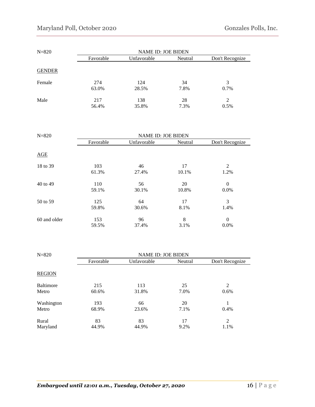| $N = 820$     |              | <b>NAME ID: JOE BIDEN</b> |            |                 |
|---------------|--------------|---------------------------|------------|-----------------|
|               | Favorable    | Unfavorable               | Neutral    | Don't Recognize |
| <b>GENDER</b> |              |                           |            |                 |
| Female        | 274<br>63.0% | 124<br>28.5%              | 34<br>7.8% | 3<br>0.7%       |
| Male          | 217<br>56.4% | 138<br>35.8%              | 28<br>7.3% | 2<br>0.5%       |

| $N = 820$    |           | <b>NAME ID: JOE BIDEN</b> |         |                 |
|--------------|-----------|---------------------------|---------|-----------------|
|              | Favorable | Unfavorable               | Neutral | Don't Recognize |
| AGE          |           |                           |         |                 |
| 18 to 39     | 103       | 46                        | 17      | 2               |
|              | 61.3%     | 27.4%                     | 10.1%   | 1.2%            |
| 40 to 49     | 110       | 56                        | 20      | $\Omega$        |
|              | 59.1%     | 30.1%                     | 10.8%   | 0.0%            |
| 50 to 59     | 125       | 64                        | 17      | 3               |
|              | 59.8%     | 30.6%                     | 8.1%    | 1.4%            |
| 60 and older | 153       | 96                        | 8       | $\mathbf{0}$    |
|              | 59.5%     | 37.4%                     | 3.1%    | $0.0\%$         |

| $N = 820$     |           | <b>NAME ID: JOE BIDEN</b> |         |                 |
|---------------|-----------|---------------------------|---------|-----------------|
|               | Favorable | Unfavorable               | Neutral | Don't Recognize |
| <b>REGION</b> |           |                           |         |                 |
| Baltimore     | 215       | 113                       | 25      | 2               |
| Metro         | 60.6%     | 31.8%                     | 7.0%    | 0.6%            |
| Washington    | 193       | 66                        | 20      |                 |
| Metro         | 68.9%     | 23.6%                     | 7.1%    | 0.4%            |
| Rural         | 83        | 83                        | 17      | 2               |
| Maryland      | 44.9%     | 44.9%                     | 9.2%    | 1.1%            |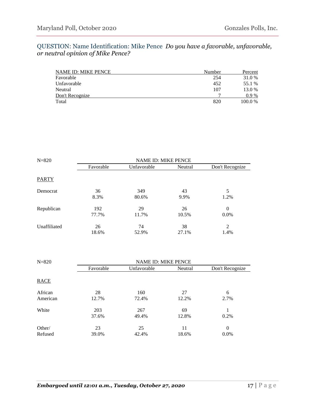#### <span id="page-16-0"></span>QUESTION: Name Identification: Mike Pence *Do you have a favorable, unfavorable, or neutral opinion of Mike Pence?*

| <b>NAME ID: MIKE PENCE</b> | Number | Percent |
|----------------------------|--------|---------|
| Favorable                  | 254    | 31.0 %  |
| Unfavorable                | 452    | 55.1 %  |
| Neutral                    | 107    | 13.0 %  |
| Don't Recognize            |        | $0.9\%$ |
| Total                      | 820    | 100.0 % |

| $N = 820$    | <b>NAME ID: MIKE PENCE</b> |             |         |                 |  |
|--------------|----------------------------|-------------|---------|-----------------|--|
|              | Favorable                  | Unfavorable | Neutral | Don't Recognize |  |
| <b>PARTY</b> |                            |             |         |                 |  |
| Democrat     | 36                         | 349         | 43      | 5               |  |
|              | 8.3%                       | 80.6%       | 9.9%    | 1.2%            |  |
| Republican   | 192                        | 29          | 26      | $\theta$        |  |
|              | 77.7%                      | 11.7%       | 10.5%   | $0.0\%$         |  |
| Unaffiliated | 26                         | 74          | 38      | 2               |  |
|              | 18.6%                      | 52.9%       | 27.1%   | 1.4%            |  |

| $N = 820$   |           | <b>NAME ID: MIKE PENCE</b> |         |                 |
|-------------|-----------|----------------------------|---------|-----------------|
|             | Favorable | Unfavorable                | Neutral | Don't Recognize |
| <b>RACE</b> |           |                            |         |                 |
| African     | 28        | 160                        | 27      | 6               |
| American    | 12.7%     | 72.4%                      | 12.2%   | 2.7%            |
| White       | 203       | 267                        | 69      |                 |
|             | 37.6%     | 49.4%                      | 12.8%   | 0.2%            |
| Other/      | 23        | 25                         | 11      | $\Omega$        |
| Refused     | 39.0%     | 42.4%                      | 18.6%   | $0.0\%$         |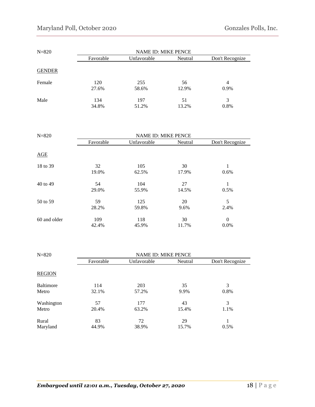| $N = 820$     |              | <b>NAME ID: MIKE PENCE</b> |             |                 |  |
|---------------|--------------|----------------------------|-------------|-----------------|--|
|               | Favorable    | Unfavorable                | Neutral     | Don't Recognize |  |
| <b>GENDER</b> |              |                            |             |                 |  |
| Female        | 120<br>27.6% | 255<br>58.6%               | 56<br>12.9% | 4<br>0.9%       |  |
| Male          | 134<br>34.8% | 197<br>51.2%               | 51<br>13.2% | 3<br>0.8%       |  |

| $N = 820$    |           | <b>NAME ID: MIKE PENCE</b> |         |                 |
|--------------|-----------|----------------------------|---------|-----------------|
|              | Favorable | Unfavorable                | Neutral | Don't Recognize |
| AGE          |           |                            |         |                 |
| 18 to 39     | 32        | 105                        | 30      | 1               |
|              | 19.0%     | 62.5%                      | 17.9%   | 0.6%            |
| 40 to 49     | 54        | 104                        | 27      | 1               |
|              | 29.0%     | 55.9%                      | 14.5%   | 0.5%            |
| 50 to 59     | 59        | 125                        | 20      | 5               |
|              | 28.2%     | 59.8%                      | 9.6%    | 2.4%            |
| 60 and older | 109       | 118                        | 30      | $\theta$        |
|              | 42.4%     | 45.9%                      | 11.7%   | $0.0\%$         |

| $N = 820$     |           | <b>NAME ID: MIKE PENCE</b> |         |                 |
|---------------|-----------|----------------------------|---------|-----------------|
|               | Favorable | Unfavorable                | Neutral | Don't Recognize |
| <b>REGION</b> |           |                            |         |                 |
| Baltimore     | 114       | 203                        | 35      | 3               |
| Metro         | 32.1%     | 57.2%                      | 9.9%    | 0.8%            |
| Washington    | 57        | 177                        | 43      | 3               |
| Metro         | 20.4%     | 63.2%                      | 15.4%   | 1.1%            |
| Rural         | 83        | 72                         | 29      |                 |
| Maryland      | 44.9%     | 38.9%                      | 15.7%   | 0.5%            |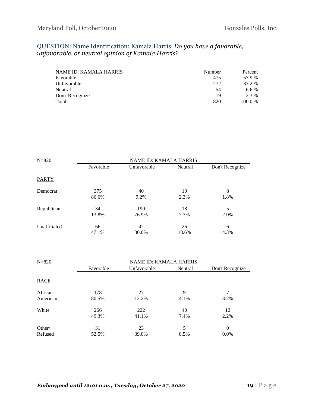#### <span id="page-18-0"></span>QUESTION: Name Identification: Kamala Harris *Do you have a favorable, unfavorable, or neutral opinion of Kamala Harris?*

| NAME ID: KAMALA HARRIS | Number | Percent |
|------------------------|--------|---------|
| Favorable              | 475    | 57.9 %  |
| Unfavorable            | 272    | 33.2 %  |
| Neutral                | 54     | $6.6\%$ |
| Don't Recognize        | 19     | 2.3 %   |
| Total                  | 820    | 100.0 % |

| $N = 820$    |           | <b>NAME ID: KAMALA HARRIS</b> |         |                 |
|--------------|-----------|-------------------------------|---------|-----------------|
|              | Favorable | Unfavorable                   | Neutral | Don't Recognize |
| <b>PARTY</b> |           |                               |         |                 |
| Democrat     | 375       | 40                            | 10      | 8               |
|              | 86.6%     | 9.2%                          | 2.3%    | 1.8%            |
| Republican   | 34        | 190                           | 18      | 5               |
|              | 13.8%     | 76.9%                         | 7.3%    | 2.0%            |
| Unaffiliated | 66        | 42                            | 26      | 6               |
|              | 47.1%     | 30.0%                         | 18.6%   | 4.3%            |

| $N = 820$   |           | <b>NAME ID: KAMALA HARRIS</b> |         |                 |
|-------------|-----------|-------------------------------|---------|-----------------|
|             | Favorable | Unfavorable                   | Neutral | Don't Recognize |
| <b>RACE</b> |           |                               |         |                 |
| African     | 178       | 27                            | 9       | 7               |
| American    | 80.5%     | 12.2%                         | 4.1%    | 3.2%            |
| White       | 266       | 222                           | 40      | 12              |
|             | 49.3%     | 41.1%                         | 7.4%    | 2.2%            |
| Other/      | 31        | 23                            | 5       | $\Omega$        |
| Refused     | 52.5%     | 39.0%                         | 8.5%    | $0.0\%$         |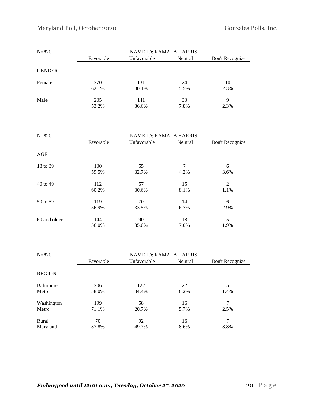| $N = 820$     |              | <b>NAME ID: KAMALA HARRIS</b> |            |                 |  |
|---------------|--------------|-------------------------------|------------|-----------------|--|
|               | Favorable    | Unfavorable                   | Neutral    | Don't Recognize |  |
| <b>GENDER</b> |              |                               |            |                 |  |
| Female        | 270<br>62.1% | 131<br>30.1%                  | 24<br>5.5% | 10<br>2.3%      |  |
| Male          | 205<br>53.2% | 141<br>36.6%                  | 30<br>7.8% | 9<br>2.3%       |  |

| $N = 820$    |           | <b>NAME ID: KAMALA HARRIS</b> |         |                 |
|--------------|-----------|-------------------------------|---------|-----------------|
|              | Favorable | Unfavorable                   | Neutral | Don't Recognize |
| AGE          |           |                               |         |                 |
| 18 to 39     | 100       | 55                            | 7       | 6               |
|              | 59.5%     | 32.7%                         | 4.2%    | 3.6%            |
| 40 to 49     | 112       | 57                            | 15      | 2               |
|              | 60.2%     | 30.6%                         | 8.1%    | 1.1%            |
| 50 to 59     | 119       | 70                            | 14      | 6               |
|              | 56.9%     | 33.5%                         | 6.7%    | 2.9%            |
| 60 and older | 144       | 90                            | 18      | 5               |
|              | 56.0%     | 35.0%                         | 7.0%    | 1.9%            |

| $N = 820$     |           | <b>NAME ID: KAMALA HARRIS</b> |         |                 |
|---------------|-----------|-------------------------------|---------|-----------------|
|               | Favorable | Unfavorable                   | Neutral | Don't Recognize |
| <b>REGION</b> |           |                               |         |                 |
| Baltimore     | 206       | 122                           | 22      | 5               |
| Metro         | 58.0%     | 34.4%                         | 6.2%    | 1.4%            |
| Washington    | 199       | 58                            | 16      | 7               |
| Metro         | 71.1%     | 20.7%                         | 5.7%    | 2.5%            |
| Rural         | 70        | 92                            | 16      | 7               |
| Maryland      | 37.8%     | 49.7%                         | 8.6%    | 3.8%            |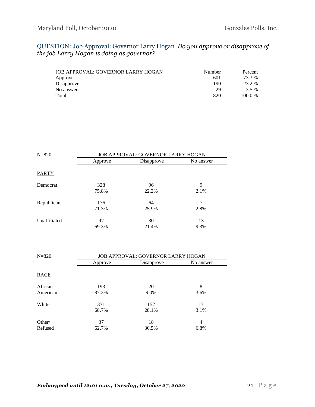#### <span id="page-20-0"></span>QUESTION: Job Approval: Governor Larry Hogan *Do you approve or disapprove of the job Larry Hogan is doing as governor?*

| 73.3 %  |
|---------|
| 23.2 %  |
| 3.5 %   |
| 100.0 % |
|         |

| $N = 820$    | <b>JOB APPROVAL: GOVERNOR LARRY HOGAN</b> |            |           |  |
|--------------|-------------------------------------------|------------|-----------|--|
|              | Approve                                   | Disapprove | No answer |  |
| <b>PARTY</b> |                                           |            |           |  |
| Democrat     | 328                                       | 96         | 9         |  |
|              | 75.8%                                     | 22.2%      | 2.1%      |  |
| Republican   | 176                                       | 64         | 7         |  |
|              | 71.3%                                     | 25.9%      | 2.8%      |  |
| Unaffiliated | 97                                        | 30         | 13        |  |
|              | 69.3%                                     | 21.4%      | 9.3%      |  |

| $N = 820$ |         | <b>JOB APPROVAL: GOVERNOR LARRY HOGAN</b> |           |
|-----------|---------|-------------------------------------------|-----------|
|           | Approve | Disapprove                                | No answer |
| RACE      |         |                                           |           |
| African   | 193     | 20                                        | 8         |
| American  | 87.3%   | 9.0%                                      | 3.6%      |
| White     | 371     | 152                                       | 17        |
|           | 68.7%   | 28.1%                                     | 3.1%      |
| Other/    | 37      | 18                                        | 4         |
| Refused   | 62.7%   | 30.5%                                     | 6.8%      |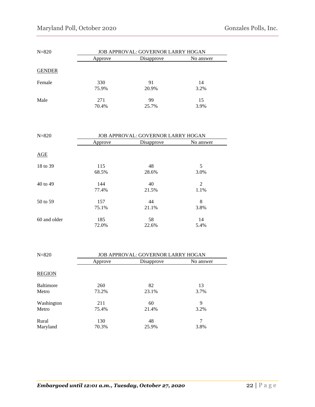| $N = 820$     | <b>JOB APPROVAL: GOVERNOR LARRY HOGAN</b> |             |            |  |
|---------------|-------------------------------------------|-------------|------------|--|
|               | Approve                                   | Disapprove  | No answer  |  |
| <b>GENDER</b> |                                           |             |            |  |
| Female        | 330<br>75.9%                              | 91<br>20.9% | 14<br>3.2% |  |
| Male          | 271<br>70.4%                              | 99<br>25.7% | 15<br>3.9% |  |

| $N = 820$    |         | <b>JOB APPROVAL: GOVERNOR LARRY HOGAN</b> |           |
|--------------|---------|-------------------------------------------|-----------|
|              | Approve | Disapprove                                | No answer |
| AGE          |         |                                           |           |
| 18 to 39     | 115     | 48                                        | 5         |
|              | 68.5%   | 28.6%                                     | 3.0%      |
| 40 to 49     | 144     | 40                                        | 2         |
|              | 77.4%   | 21.5%                                     | 1.1%      |
| 50 to 59     | 157     | 44                                        | 8         |
|              | 75.1%   | 21.1%                                     | 3.8%      |
| 60 and older | 185     | 58                                        | 14        |
|              | 72.0%   | 22.6%                                     | 5.4%      |

| $N = 820$        |         | <b>JOB APPROVAL: GOVERNOR LARRY HOGAN</b> |           |
|------------------|---------|-------------------------------------------|-----------|
|                  | Approve | Disapprove                                | No answer |
| <b>REGION</b>    |         |                                           |           |
| <b>Baltimore</b> | 260     | 82                                        | 13        |
| Metro            | 73.2%   | 23.1%                                     | 3.7%      |
| Washington       | 211     | 60                                        | 9         |
| Metro            | 75.4%   | 21.4%                                     | 3.2%      |
| Rural            | 130     | 48                                        | 7         |
| Maryland         | 70.3%   | 25.9%                                     | 3.8%      |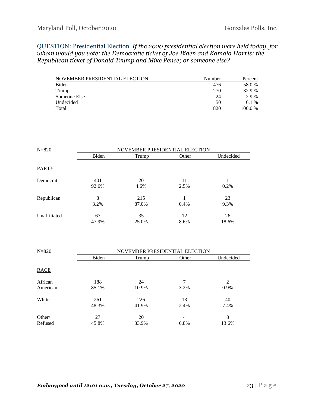<span id="page-22-0"></span>QUESTION: Presidential Election *If the 2020 presidential election were held today, for whom would you vote: the Democratic ticket of Joe Biden and Kamala Harris; the Republican ticket of Donald Trump and Mike Pence; or someone else?*

| NOVEMBER PRESIDENTIAL ELECTION | Number | Percent |
|--------------------------------|--------|---------|
| Biden                          | 476    | 58.0 %  |
| Trump                          | 270    | 32.9 %  |
| Someone Else                   | 24     | 2.9 %   |
| Undecided                      | 50     | 6.1 %   |
| Total                          | 820    | 100.0 % |

| $N = 820$    |              | NOVEMBER PRESIDENTIAL ELECTION |            |             |
|--------------|--------------|--------------------------------|------------|-------------|
|              | Biden        | Trump                          | Other      | Undecided   |
| <b>PARTY</b> |              |                                |            |             |
| Democrat     | 401<br>92.6% | 20<br>4.6%                     | 11<br>2.5% | $0.2\%$     |
| Republican   | 8<br>3.2%    | 215<br>87.0%                   | 0.4%       | 23<br>9.3%  |
| Unaffiliated | 67<br>47.9%  | 35<br>25.0%                    | 12<br>8.6% | 26<br>18.6% |

| $N = 820$   |       | NOVEMBER PRESIDENTIAL ELECTION |                |           |
|-------------|-------|--------------------------------|----------------|-----------|
|             | Biden | Trump                          | Other          | Undecided |
| <b>RACE</b> |       |                                |                |           |
| African     | 188   | 24                             | 7              | 2         |
| American    | 85.1% | 10.9%                          | 3.2%           | 0.9%      |
| White       | 261   | 226                            | 13             | 40        |
|             | 48.3% | 41.9%                          | 2.4%           | 7.4%      |
| Other/      | 27    | 20                             | $\overline{4}$ | 8         |
| Refused     | 45.8% | 33.9%                          | 6.8%           | 13.6%     |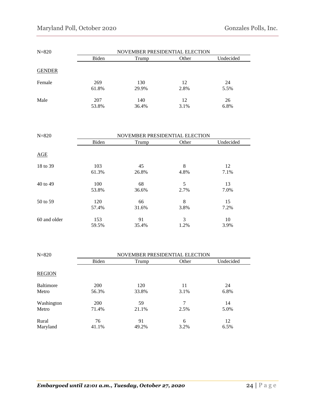| $N = 820$     |              | NOVEMBER PRESIDENTIAL ELECTION |            |            |
|---------------|--------------|--------------------------------|------------|------------|
|               | Biden        | Trump                          | Other      | Undecided  |
| <b>GENDER</b> |              |                                |            |            |
| Female        | 269<br>61.8% | 130<br>29.9%                   | 12<br>2.8% | 24<br>5.5% |
| Male          | 207<br>53.8% | 140<br>36.4%                   | 12<br>3.1% | 26<br>6.8% |

| $N = 820$    |       | NOVEMBER PRESIDENTIAL ELECTION |       |           |
|--------------|-------|--------------------------------|-------|-----------|
|              | Biden | Trump                          | Other | Undecided |
| AGE          |       |                                |       |           |
| 18 to 39     | 103   | 45                             | 8     | 12        |
|              | 61.3% | 26.8%                          | 4.8%  | 7.1%      |
| 40 to 49     | 100   | 68                             | 5     | 13        |
|              | 53.8% | 36.6%                          | 2.7%  | 7.0%      |
| 50 to 59     | 120   | 66                             | 8     | 15        |
|              | 57.4% | 31.6%                          | 3.8%  | 7.2%      |
| 60 and older | 153   | 91                             | 3     | 10        |
|              | 59.5% | 35.4%                          | 1.2%  | 3.9%      |

| $N = 820$        |            | NOVEMBER PRESIDENTIAL ELECTION |       |           |
|------------------|------------|--------------------------------|-------|-----------|
|                  | Biden      | Trump                          | Other | Undecided |
| <b>REGION</b>    |            |                                |       |           |
| <b>Baltimore</b> | <b>200</b> | 120                            | 11    | 24        |
| Metro            | 56.3%      | 33.8%                          | 3.1%  | 6.8%      |
| Washington       | 200        | 59                             | 7     | 14        |
| Metro            | 71.4%      | 21.1%                          | 2.5%  | 5.0%      |
| Rural            | 76         | 91                             | 6     | 12        |
| Maryland         | 41.1%      | 49.2%                          | 3.2%  | 6.5%      |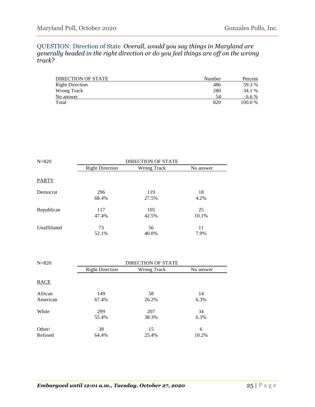<span id="page-24-0"></span>QUESTION: Direction of State *Overall, would you say things in Maryland are generally headed in the right direction or do you feel things are off on the wrong track?*

| Number | Percent |
|--------|---------|
| 486    | 59.3 %  |
| 280    | 34.1 %  |
| 54     | $6.6\%$ |
| 820    | 100.0 % |
|        |         |

| $N = 820$    |                        | <b>DIRECTION OF STATE</b> |           |
|--------------|------------------------|---------------------------|-----------|
|              | <b>Right Direction</b> | Wrong Track               | No answer |
| <b>PARTY</b> |                        |                           |           |
| Democrat     | 296                    | 119                       | 18        |
|              | 68.4%                  | 27.5%                     | 4.2%      |
| Republican   | 117                    | 105                       | 25        |
|              | 47.4%                  | 42.5%                     | 10.1%     |
| Unaffiliated | 73                     | 56                        | 11        |
|              | 52.1%                  | 40.0%                     | 7.9%      |

| $N = 820$   |                        | <b>DIRECTION OF STATE</b> |           |
|-------------|------------------------|---------------------------|-----------|
|             | <b>Right Direction</b> | Wrong Track               | No answer |
| <b>RACE</b> |                        |                           |           |
| African     | 149                    | 58                        | 14        |
| American    | 67.4%                  | 26.2%                     | 6.3%      |
| White       | 299                    | 207                       | 34        |
|             | 55.4%                  | 38.3%                     | 6.3%      |
| Other/      | 38                     | 15                        | 6         |
| Refused     | 64.4%                  | 25.4%                     | 10.2%     |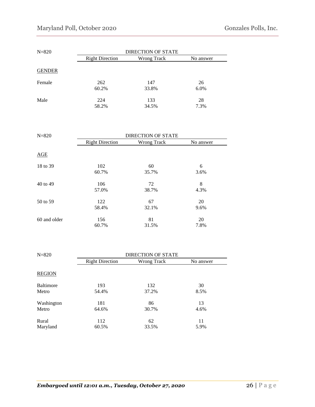| $N = 820$     |                        | <b>DIRECTION OF STATE</b> |            |
|---------------|------------------------|---------------------------|------------|
|               | <b>Right Direction</b> | Wrong Track               | No answer  |
| <b>GENDER</b> |                        |                           |            |
| Female        | 262<br>60.2%           | 147<br>33.8%              | 26<br>6.0% |
| Male          | 224<br>58.2%           | 133<br>34.5%              | 28<br>7.3% |

| $N = 820$    |                        | <b>DIRECTION OF STATE</b> |           |
|--------------|------------------------|---------------------------|-----------|
|              | <b>Right Direction</b> | Wrong Track               | No answer |
| AGE          |                        |                           |           |
| 18 to 39     | 102                    | 60                        | 6         |
|              | 60.7%                  | 35.7%                     | 3.6%      |
| 40 to 49     | 106                    | 72                        | 8         |
|              | 57.0%                  | 38.7%                     | 4.3%      |
| 50 to 59     | 122                    | 67                        | 20        |
|              | 58.4%                  | 32.1%                     | 9.6%      |
| 60 and older | 156                    | 81                        | 20        |
|              | 60.7%                  | 31.5%                     | 7.8%      |

| $N = 820$        |                        | <b>DIRECTION OF STATE</b> |           |
|------------------|------------------------|---------------------------|-----------|
|                  | <b>Right Direction</b> | Wrong Track               | No answer |
| <b>REGION</b>    |                        |                           |           |
| <b>Baltimore</b> | 193                    | 132                       | 30        |
| Metro            | 54.4%                  | 37.2%                     | 8.5%      |
| Washington       | 181                    | 86                        | 13        |
| Metro            | 64.6%                  | 30.7%                     | 4.6%      |
| Rural            | 112                    | 62                        | 11        |
| Maryland         | 60.5%                  | 33.5%                     | 5.9%      |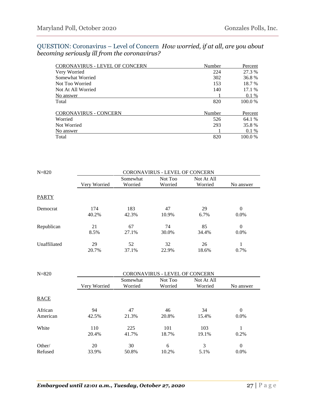#### <span id="page-26-0"></span>QUESTION: Coronavirus – Level of Concern *How worried, if at all, are you about becoming seriously ill from the coronavirus?*

| <b>CORONAVIRUS - LEVEL OF CONCERN</b> | Number | Percent |
|---------------------------------------|--------|---------|
| Very Worried                          | 224    | 27.3 %  |
| Somewhat Worried                      | 302    | 36.8 %  |
| Not Too Worried                       | 153    | 18.7 %  |
| Not At All Worried                    | 140    | 17.1 %  |
| No answer                             |        | 0.1%    |
| Total                                 | 820    | 100.0 % |
| <b>CORONAVIRUS - CONCERN</b>          | Number | Percent |
| Worried                               | 526    | 64.1 %  |
| Not Worried                           | 293    | 35.8 %  |
| No answer                             |        | 0.1%    |
| Total                                 | 820    | 100.0%  |

| $N = 820$    |              |                     | <b>CORONAVIRUS - LEVEL OF CONCERN</b> |                       |           |
|--------------|--------------|---------------------|---------------------------------------|-----------------------|-----------|
|              | Very Worried | Somewhat<br>Worried | Not Too<br>Worried                    | Not At All<br>Worried | No answer |
| <b>PARTY</b> |              |                     |                                       |                       |           |
| Democrat     | 174          | 183                 | 47                                    | 29                    | $\theta$  |
|              | 40.2%        | 42.3%               | 10.9%                                 | 6.7%                  | $0.0\%$   |
| Republican   | 21           | 67                  | 74                                    | 85                    | $\theta$  |
|              | 8.5%         | 27.1%               | 30.0%                                 | 34.4%                 | 0.0%      |
| Unaffiliated | 29           | 52                  | 32                                    | 26                    | 1         |
|              | 20.7%        | 37.1%               | 22.9%                                 | 18.6%                 | 0.7%      |

| $N = 820$   | <b>CORONAVIRUS - LEVEL OF CONCERN</b> |          |         |            |                |
|-------------|---------------------------------------|----------|---------|------------|----------------|
|             |                                       | Somewhat | Not Too | Not At All |                |
|             | Very Worried                          | Worried  | Worried | Worried    | No answer      |
| <b>RACE</b> |                                       |          |         |            |                |
| African     | 94                                    | 47       | 46      | 34         | $\overline{0}$ |
| American    | 42.5%                                 | 21.3%    | 20.8%   | 15.4%      | $0.0\%$        |
| White       | 110                                   | 225      | 101     | 103        |                |
|             | 20.4%                                 | 41.7%    | 18.7%   | 19.1%      | 0.2%           |
| Other/      | 20                                    | 30       | 6       | 3          | $\overline{0}$ |
| Refused     | 33.9%                                 | 50.8%    | 10.2%   | 5.1%       | $0.0\%$        |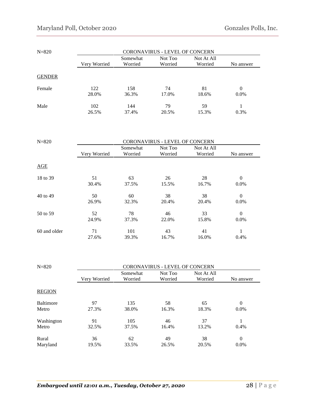| $N = 820$     |              | <b>CORONAVIRUS - LEVEL OF CONCERN</b> |                    |                       |                     |  |
|---------------|--------------|---------------------------------------|--------------------|-----------------------|---------------------|--|
|               | Very Worried | Somewhat<br>Worried                   | Not Too<br>Worried | Not At All<br>Worried | No answer           |  |
| <b>GENDER</b> |              |                                       |                    |                       |                     |  |
| Female        | 122<br>28.0% | 158<br>36.3%                          | 74<br>17.0%        | 81<br>18.6%           | $\theta$<br>$0.0\%$ |  |
| Male          | 102<br>26.5% | 144<br>37.4%                          | 79<br>20.5%        | 59<br>15.3%           | 0.3%                |  |

| $N = 820$    |              |                     | <b>CORONAVIRUS - LEVEL OF CONCERN</b> |                       |                  |
|--------------|--------------|---------------------|---------------------------------------|-----------------------|------------------|
|              | Very Worried | Somewhat<br>Worried | Not Too<br>Worried                    | Not At All<br>Worried | No answer        |
| AGE          |              |                     |                                       |                       |                  |
| 18 to 39     | 51           | 63                  | 26                                    | 28                    | $\boldsymbol{0}$ |
|              | 30.4%        | 37.5%               | 15.5%                                 | 16.7%                 | 0.0%             |
| 40 to 49     | 50           | 60                  | 38                                    | 38                    | $\mathbf{0}$     |
|              | 26.9%        | 32.3%               | 20.4%                                 | 20.4%                 | 0.0%             |
| 50 to 59     | 52           | 78                  | 46                                    | 33                    | $\boldsymbol{0}$ |
|              | 24.9%        | 37.3%               | 22.0%                                 | 15.8%                 | 0.0%             |
| 60 and older | 71           | 101                 | 43                                    | 41                    | -1               |
|              | 27.6%        | 39.3%               | 16.7%                                 | 16.0%                 | 0.4%             |

| $N = 820$        |              |                     | <b>CORONAVIRUS - LEVEL OF CONCERN</b> |                       |           |
|------------------|--------------|---------------------|---------------------------------------|-----------------------|-----------|
|                  | Very Worried | Somewhat<br>Worried | Not Too<br>Worried                    | Not At All<br>Worried | No answer |
| <b>REGION</b>    |              |                     |                                       |                       |           |
| <b>Baltimore</b> | 97           | 135                 | 58                                    | 65                    | $\theta$  |
| Metro            | 27.3%        | 38.0%               | 16.3%                                 | 18.3%                 | $0.0\%$   |
| Washington       | 91           | 105                 | 46                                    | 37                    |           |
| Metro            | 32.5%        | 37.5%               | 16.4%                                 | 13.2%                 | 0.4%      |
| Rural            | 36           | 62                  | 49                                    | 38                    | $\theta$  |
| Maryland         | 19.5%        | 33.5%               | 26.5%                                 | 20.5%                 | $0.0\%$   |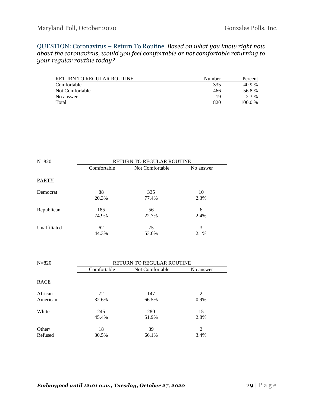<span id="page-28-0"></span>QUESTION: Coronavirus – Return To Routine *Based on what you know right now about the coronavirus, would you feel comfortable or not comfortable returning to your regular routine today?*

| RETURN TO REGULAR ROUTINE | Number | Percent   |
|---------------------------|--------|-----------|
| Comfortable               | 335    | 40.9 %    |
| Not Comfortable           | 466    | 56.8%     |
| No answer                 | 19     | 2.3 %     |
| Total                     | 820    | $100.0\%$ |

| $N = 820$    |             | RETURN TO REGULAR ROUTINE |           |
|--------------|-------------|---------------------------|-----------|
|              | Comfortable | Not Comfortable           | No answer |
| <b>PARTY</b> |             |                           |           |
| Democrat     | 88          | 335                       | 10        |
|              | 20.3%       | 77.4%                     | 2.3%      |
| Republican   | 185         | 56                        | 6         |
|              | 74.9%       | 22.7%                     | 2.4%      |
| Unaffiliated | 62          | 75                        | 3         |
|              | 44.3%       | 53.6%                     | 2.1%      |

| $N = 820$   |             | RETURN TO REGULAR ROUTINE |           |
|-------------|-------------|---------------------------|-----------|
|             | Comfortable | Not Comfortable           | No answer |
| <b>RACE</b> |             |                           |           |
| African     | 72          | 147                       | 2         |
| American    | 32.6%       | 66.5%                     | 0.9%      |
| White       | 245         | 280                       | 15        |
|             | 45.4%       | 51.9%                     | 2.8%      |
| Other/      | 18          | 39                        | 2         |
| Refused     | 30.5%       | 66.1%                     | 3.4%      |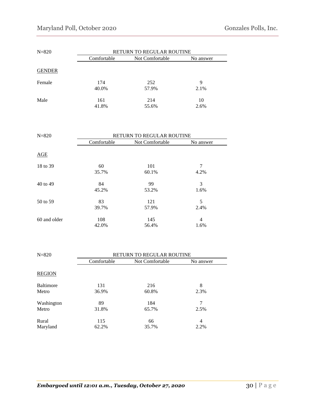| $N = 820$     |              | <b>RETURN TO REGULAR ROUTINE</b> |            |
|---------------|--------------|----------------------------------|------------|
|               | Comfortable  | Not Comfortable                  | No answer  |
| <b>GENDER</b> |              |                                  |            |
| Female        | 174<br>40.0% | 252<br>57.9%                     | 9<br>2.1%  |
| Male          | 161<br>41.8% | 214<br>55.6%                     | 10<br>2.6% |

| $N = 820$    |             | RETURN TO REGULAR ROUTINE |           |
|--------------|-------------|---------------------------|-----------|
|              | Comfortable | Not Comfortable           | No answer |
| AGE          |             |                           |           |
| 18 to 39     | 60          | 101                       | 7         |
|              | 35.7%       | 60.1%                     | 4.2%      |
| 40 to 49     | 84          | 99                        | 3         |
|              | 45.2%       | 53.2%                     | 1.6%      |
| 50 to 59     | 83          | 121                       | 5         |
|              | 39.7%       | 57.9%                     | 2.4%      |
| 60 and older | 108         | 145                       | 4         |
|              | 42.0%       | 56.4%                     | 1.6%      |

| $N = 820$        |             | RETURN TO REGULAR ROUTINE |           |
|------------------|-------------|---------------------------|-----------|
|                  | Comfortable | Not Comfortable           | No answer |
| <b>REGION</b>    |             |                           |           |
| <b>Baltimore</b> | 131         | 216                       | 8         |
| Metro            | 36.9%       | 60.8%                     | 2.3%      |
| Washington       | 89          | 184                       | 7         |
| Metro            | 31.8%       | 65.7%                     | 2.5%      |
| Rural            | 115         | 66                        | 4         |
| Maryland         | 62.2%       | 35.7%                     | 2.2%      |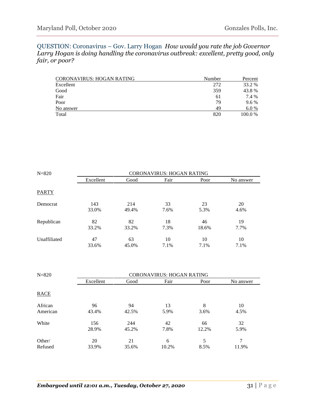<span id="page-30-0"></span>QUESTION: Coronavirus – Gov. Larry Hogan *How would you rate the job Governor Larry Hogan is doing handling the coronavirus outbreak: excellent, pretty good, only fair, or poor?*

| <b>CORONAVIRUS: HOGAN RATING</b> | Number | Percent |
|----------------------------------|--------|---------|
| Excellent                        | 272    | 33.2 %  |
| Good                             | 359    | 43.8 %  |
| Fair                             | 61     | 7.4 %   |
| Poor                             | 79     | $9.6\%$ |
| No answer                        | 49     | 6.0 %   |
| Total                            | 820    | 100.0 % |

| $N = 820$    |           |       | <b>CORONAVIRUS: HOGAN RATING</b> |       |           |
|--------------|-----------|-------|----------------------------------|-------|-----------|
|              | Excellent | Good  | Fair                             | Poor  | No answer |
| <b>PARTY</b> |           |       |                                  |       |           |
| Democrat     | 143       | 214   | 33                               | 23    | 20        |
|              | 33.0%     | 49.4% | 7.6%                             | 5.3%  | 4.6%      |
| Republican   | 82        | 82    | 18                               | 46    | 19        |
|              | 33.2%     | 33.2% | 7.3%                             | 18.6% | 7.7%      |
| Unaffiliated | 47        | 63    | 10                               | 10    | 10        |
|              | 33.6%     | 45.0% | 7.1%                             | 7.1%  | 7.1%      |

| $N = 820$   |           |       | <b>CORONAVIRUS: HOGAN RATING</b> |       |           |
|-------------|-----------|-------|----------------------------------|-------|-----------|
|             | Excellent | Good  | Fair                             | Poor  | No answer |
| <b>RACE</b> |           |       |                                  |       |           |
| African     | 96        | 94    | 13                               | 8     | 10        |
| American    | 43.4%     | 42.5% | 5.9%                             | 3.6%  | 4.5%      |
| White       | 156       | 244   | 42                               | 66    | 32        |
|             | 28.9%     | 45.2% | 7.8%                             | 12.2% | 5.9%      |
| Other/      | 20        | 21    | 6                                | 5     | 7         |
| Refused     | 33.9%     | 35.6% | 10.2%                            | 8.5%  | 11.9%     |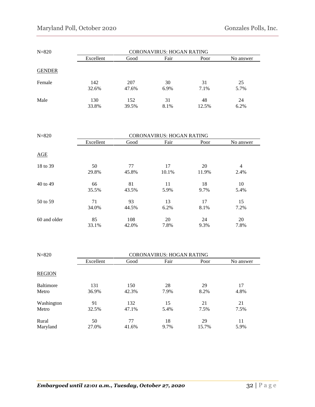| $N = 820$     |              |              | <b>CORONAVIRUS: HOGAN RATING</b> |             |            |
|---------------|--------------|--------------|----------------------------------|-------------|------------|
|               | Excellent    | Good         | Fair                             | Poor        | No answer  |
| <b>GENDER</b> |              |              |                                  |             |            |
| Female        | 142<br>32.6% | 207<br>47.6% | 30<br>6.9%                       | 31<br>7.1%  | 25<br>5.7% |
| Male          | 130<br>33.8% | 152<br>39.5% | 31<br>8.1%                       | 48<br>12.5% | 24<br>6.2% |

| $N = 820$    |           |       | <b>CORONAVIRUS: HOGAN RATING</b> |       |                |
|--------------|-----------|-------|----------------------------------|-------|----------------|
|              | Excellent | Good  | Fair                             | Poor  | No answer      |
| AGE          |           |       |                                  |       |                |
| 18 to 39     | 50        | 77    | 17                               | 20    | $\overline{4}$ |
|              | 29.8%     | 45.8% | 10.1%                            | 11.9% | 2.4%           |
| 40 to 49     | 66        | 81    | 11                               | 18    | 10             |
|              | 35.5%     | 43.5% | 5.9%                             | 9.7%  | 5.4%           |
| 50 to 59     | 71        | 93    | 13                               | 17    | 15             |
|              | 34.0%     | 44.5% | 6.2%                             | 8.1%  | 7.2%           |
| 60 and older | 85        | 108   | 20                               | 24    | 20             |
|              | 33.1%     | 42.0% | 7.8%                             | 9.3%  | 7.8%           |

| $N = 820$        |           |       | <b>CORONAVIRUS: HOGAN RATING</b> |       |           |
|------------------|-----------|-------|----------------------------------|-------|-----------|
|                  | Excellent | Good  | Fair                             | Poor  | No answer |
| <b>REGION</b>    |           |       |                                  |       |           |
| <b>Baltimore</b> | 131       | 150   | 28                               | 29    | 17        |
| Metro            | 36.9%     | 42.3% | 7.9%                             | 8.2%  | 4.8%      |
| Washington       | 91        | 132   | 15                               | 21    | 21        |
| Metro            | 32.5%     | 47.1% | 5.4%                             | 7.5%  | 7.5%      |
| Rural            | 50        | 77    | 18                               | 29    | 11        |
| Maryland         | 27.0%     | 41.6% | 9.7%                             | 15.7% | 5.9%      |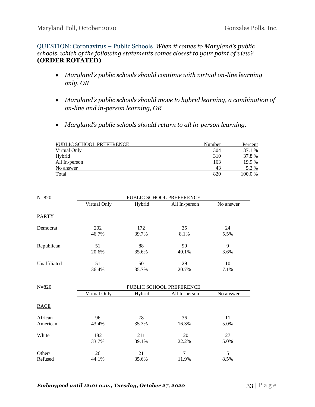<span id="page-32-0"></span>QUESTION: Coronavirus – Public Schools *When it comes to Maryland's public schools, which of the following statements comes closest to your point of view?*  **(ORDER ROTATED)**

- *Maryland's public schools should continue with virtual on-line learning only, OR*
- *Maryland's public schools should move to hybrid learning, a combination of on-line and in-person learning, OR*
- *Maryland's public schools should return to all in-person learning.*

| PUBLIC SCHOOL PREFERENCE | Number | Percent |
|--------------------------|--------|---------|
| Virtual Only             | 304    | 37.1 %  |
| Hybrid                   | 310    | 37.8 %  |
| All In-person            | 163    | 19.9 %  |
| No answer                | 43     | 5.2 %   |
| Total                    | 820    | 100.0 % |

| $N = 820$    |              |                          | PUBLIC SCHOOL PREFERENCE |           |  |  |  |
|--------------|--------------|--------------------------|--------------------------|-----------|--|--|--|
|              | Virtual Only | Hybrid                   | All In-person            | No answer |  |  |  |
| <b>PARTY</b> |              |                          |                          |           |  |  |  |
| Democrat     | 202          | 172                      | 35                       | 24        |  |  |  |
|              | 46.7%        | 39.7%                    | 8.1%                     | 5.5%      |  |  |  |
| Republican   | 51           | 88                       | 99                       | 9         |  |  |  |
|              | 20.6%        | 35.6%                    | 40.1%                    | 3.6%      |  |  |  |
| Unaffiliated | 51           | 50                       | 29                       | 10        |  |  |  |
|              | 36.4%        | 35.7%                    | 20.7%                    | 7.1%      |  |  |  |
| $N = 820$    |              | PUBLIC SCHOOL PREFERENCE |                          |           |  |  |  |
|              | Virtual Only | Hybrid                   | All In-person            | No answer |  |  |  |
| <b>RACE</b>  |              |                          |                          |           |  |  |  |
| African      | 96           | 78                       | 36                       | 11        |  |  |  |
| American     | 43.4%        | 35.3%                    | 16.3%                    | 5.0%      |  |  |  |
| White        | 182          | 211                      | 120                      | 27        |  |  |  |
|              | 33.7%        | 39.1%                    | 22.2%                    | 5.0%      |  |  |  |
| Other/       | 26           | 21                       | 7                        | 5         |  |  |  |
| Refused      | 44.1%        | 35.6%                    | 11.9%                    | 8.5%      |  |  |  |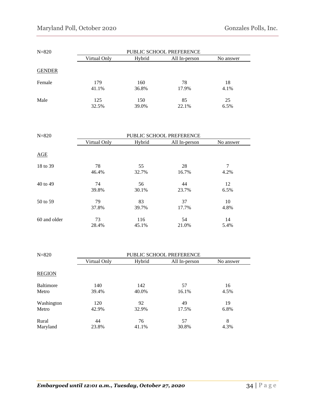| $N = 820$     |              |              | PUBLIC SCHOOL PREFERENCE |            |
|---------------|--------------|--------------|--------------------------|------------|
|               | Virtual Only | Hybrid       | All In-person            | No answer  |
| <b>GENDER</b> |              |              |                          |            |
| Female        | 179<br>41.1% | 160<br>36.8% | 78<br>17.9%              | 18<br>4.1% |
| Male          | 125<br>32.5% | 150<br>39.0% | 85<br>22.1%              | 25<br>6.5% |

| $N = 820$    |              |        | PUBLIC SCHOOL PREFERENCE |           |
|--------------|--------------|--------|--------------------------|-----------|
|              | Virtual Only | Hybrid | All In-person            | No answer |
| AGE          |              |        |                          |           |
| 18 to 39     | 78           | 55     | 28                       | 7         |
|              | 46.4%        | 32.7%  | 16.7%                    | 4.2%      |
| 40 to 49     | 74           | 56     | 44                       | 12        |
|              | 39.8%        | 30.1%  | 23.7%                    | 6.5%      |
| 50 to 59     | 79           | 83     | 37                       | 10        |
|              | 37.8%        | 39.7%  | 17.7%                    | 4.8%      |
| 60 and older | 73           | 116    | 54                       | 14        |
|              | 28.4%        | 45.1%  | 21.0%                    | 5.4%      |

| $N = 820$        |              |        | PUBLIC SCHOOL PREFERENCE |           |
|------------------|--------------|--------|--------------------------|-----------|
|                  | Virtual Only | Hybrid | All In-person            | No answer |
| <b>REGION</b>    |              |        |                          |           |
| <b>Baltimore</b> | 140          | 142    | 57                       | 16        |
| Metro            | 39.4%        | 40.0%  | 16.1%                    | 4.5%      |
| Washington       | 120          | 92     | 49                       | 19        |
| Metro            | 42.9%        | 32.9%  | 17.5%                    | 6.8%      |
| Rural            | 44           | 76     | 57                       | 8         |
| Maryland         | 23.8%        | 41.1%  | 30.8%                    | 4.3%      |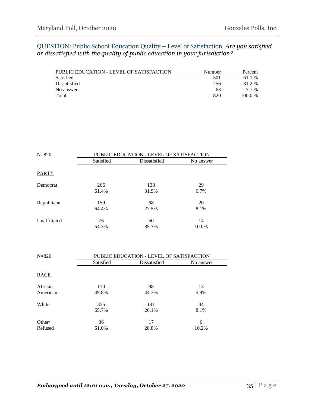#### <span id="page-34-0"></span>QUESTION: Public School Education Quality – Level of Satisfaction *Are you satisfied or dissatisfied with the quality of public education in your jurisdiction?*

| Number | Percent   |
|--------|-----------|
| 501    | 61.1 %    |
| 256    | 31.2 %    |
| 63     | 7.7 %     |
| 820    | $100.0\%$ |
|        |           |

| $N = 820$    |           | PUBLIC EDUCATION - LEVEL OF SATISFACTION |           |  |
|--------------|-----------|------------------------------------------|-----------|--|
|              | Satisfied | Dissatisfied                             | No answer |  |
| <b>PARTY</b> |           |                                          |           |  |
| Democrat     | 266       | 138                                      | 29        |  |
|              | 61.4%     | 31.9%                                    | 6.7%      |  |
| Republican   | 159       | 68                                       | 20        |  |
|              | 64.4%     | 27.5%                                    | 8.1%      |  |
| Unaffiliated | 76        | 50                                       | 14        |  |
|              | 54.3%     | 35.7%                                    | 10.0%     |  |

| $N = 820$ | PUBLIC EDUCATION - LEVEL OF SATISFACTION |              |           |
|-----------|------------------------------------------|--------------|-----------|
|           | Satisfied                                | Dissatisfied | No answer |
| RACE      |                                          |              |           |
| African   | 110                                      | 98           | 13        |
| American  | 49.8%                                    | 44.3%        | 5.9%      |
| White     | 355                                      | 141          | 44        |
|           | 65.7%                                    | 26.1%        | 8.1%      |
| Other/    | 36                                       | 17           | 6         |
| Refused   | 61.0%                                    | 28.8%        | 10.2%     |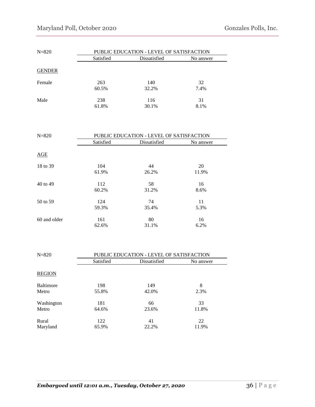| $N = 820$     | PUBLIC EDUCATION - LEVEL OF SATISFACTION |              |            |
|---------------|------------------------------------------|--------------|------------|
|               | Satisfied                                | Dissatisfied | No answer  |
| <b>GENDER</b> |                                          |              |            |
| Female        | 263<br>60.5%                             | 140<br>32.2% | 32<br>7.4% |
| Male          | 238<br>61.8%                             | 116<br>30.1% | 31<br>8.1% |

| $N = 820$    | PUBLIC EDUCATION - LEVEL OF SATISFACTION |              |           |
|--------------|------------------------------------------|--------------|-----------|
|              | Satisfied                                | Dissatisfied | No answer |
| AGE          |                                          |              |           |
| 18 to 39     | 104                                      | 44           | 20        |
|              | 61.9%                                    | 26.2%        | 11.9%     |
| 40 to 49     | 112                                      | 58           | 16        |
|              | 60.2%                                    | 31.2%        | 8.6%      |
| 50 to 59     | 124                                      | 74           | 11        |
|              | 59.3%                                    | 35.4%        | 5.3%      |
| 60 and older | 161                                      | 80           | 16        |
|              | 62.6%                                    | 31.1%        | 6.2%      |

| $N = 820$        |           | PUBLIC EDUCATION - LEVEL OF SATISFACTION |           |  |
|------------------|-----------|------------------------------------------|-----------|--|
|                  | Satisfied | Dissatisfied                             | No answer |  |
| <b>REGION</b>    |           |                                          |           |  |
| <b>Baltimore</b> | 198       | 149                                      | 8         |  |
| Metro            | 55.8%     | 42.0%                                    | 2.3%      |  |
| Washington       | 181       | 66                                       | 33        |  |
| Metro            | 64.6%     | 23.6%                                    | 11.8%     |  |
| Rural            | 122       | 41                                       | 22        |  |
| Maryland         | 65.9%     | 22.2%                                    | 11.9%     |  |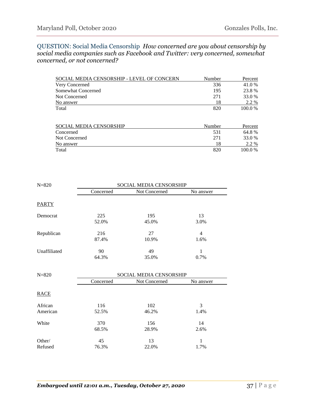<span id="page-36-0"></span>QUESTION: Social Media Censorship *How concerned are you about censorship by social media companies such as Facebook and Twitter: very concerned, somewhat concerned, or not concerned?*

| SOCIAL MEDIA CENSORSHIP - LEVEL OF CONCERN | Number | Percent   |
|--------------------------------------------|--------|-----------|
| Very Concerned                             | 336    | 41.0 %    |
| Somewhat Concerned                         | 195    | 23.8 %    |
| Not Concerned                              | 271    | 33.0 %    |
| No answer                                  |        | 2.2 %     |
| Total                                      | 820    | $100.0\%$ |

| <b>SOCIAL MEDIA CENSORSHIP</b> | Number | Percent |
|--------------------------------|--------|---------|
| Concerned                      | 531    | 64.8%   |
| Not Concerned                  | 271    | 33.0 %  |
| No answer                      | 18     | 2.2 %   |
| Total                          | 820    | 100.0 % |

| $N = 820$       |              | SOCIAL MEDIA CENSORSHIP |            |
|-----------------|--------------|-------------------------|------------|
|                 | Concerned    | Not Concerned           | No answer  |
| <b>PARTY</b>    |              |                         |            |
| <b>Democrat</b> | 225<br>52.0% | 195<br>45.0%            | 13<br>3.0% |
| Republican      | 216<br>87.4% | 27<br>10.9%             | 4<br>1.6%  |
| Unaffiliated    | 90<br>64.3%  | 49<br>35.0%             | 0.7%       |

| $N = 820$   |           | SOCIAL MEDIA CENSORSHIP |           |  |
|-------------|-----------|-------------------------|-----------|--|
|             | Concerned | Not Concerned           | No answer |  |
| <b>RACE</b> |           |                         |           |  |
| African     | 116       | 102                     | 3         |  |
| American    | 52.5%     | 46.2%                   | 1.4%      |  |
| White       | 370       | 156                     | 14        |  |
|             | 68.5%     | 28.9%                   | 2.6%      |  |
| Other/      | 45        | 13                      | 1.7%      |  |
| Refused     | 76.3%     | 22.0%                   |           |  |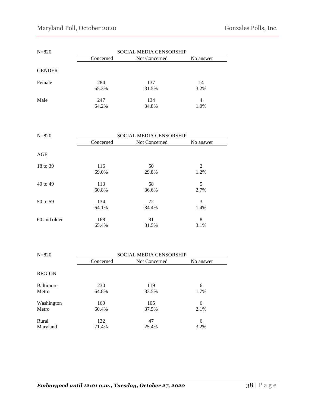| $N = 820$     | <b>SOCIAL MEDIA CENSORSHIP</b> |               |            |
|---------------|--------------------------------|---------------|------------|
|               | Concerned                      | Not Concerned | No answer  |
| <b>GENDER</b> |                                |               |            |
| Female        | 284<br>65.3%                   | 137<br>31.5%  | 14<br>3.2% |
| Male          | 247<br>64.2%                   | 134<br>34.8%  | 4<br>1.0%  |

| $N = 820$    |           | SOCIAL MEDIA CENSORSHIP |                |
|--------------|-----------|-------------------------|----------------|
|              | Concerned | Not Concerned           | No answer      |
| AGE          |           |                         |                |
| 18 to 39     | 116       | 50                      | $\overline{2}$ |
|              | 69.0%     | 29.8%                   | 1.2%           |
| 40 to 49     | 113       | 68                      | 5              |
|              | 60.8%     | 36.6%                   | 2.7%           |
| 50 to 59     | 134       | 72                      | 3              |
|              | 64.1%     | 34.4%                   | 1.4%           |
| 60 and older | 168       | 81                      | 8              |
|              | 65.4%     | 31.5%                   | 3.1%           |

| $N = 820$        |           | SOCIAL MEDIA CENSORSHIP |           |  |
|------------------|-----------|-------------------------|-----------|--|
|                  | Concerned | Not Concerned           | No answer |  |
| <b>REGION</b>    |           |                         |           |  |
| <b>Baltimore</b> | 230       | 119                     | 6         |  |
| Metro            | 64.8%     | 33.5%                   | 1.7%      |  |
| Washington       | 169       | 105                     | 6         |  |
| Metro            | 60.4%     | 37.5%                   | 2.1%      |  |
| Rural            | 132       | 47                      | 6         |  |
| Maryland         | 71.4%     | 25.4%                   | 3.2%      |  |